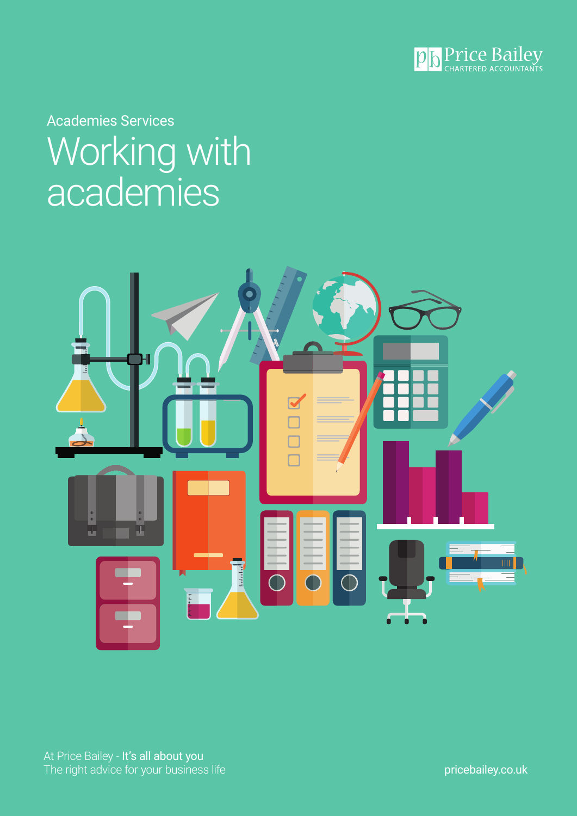

Academies Services Working with academies

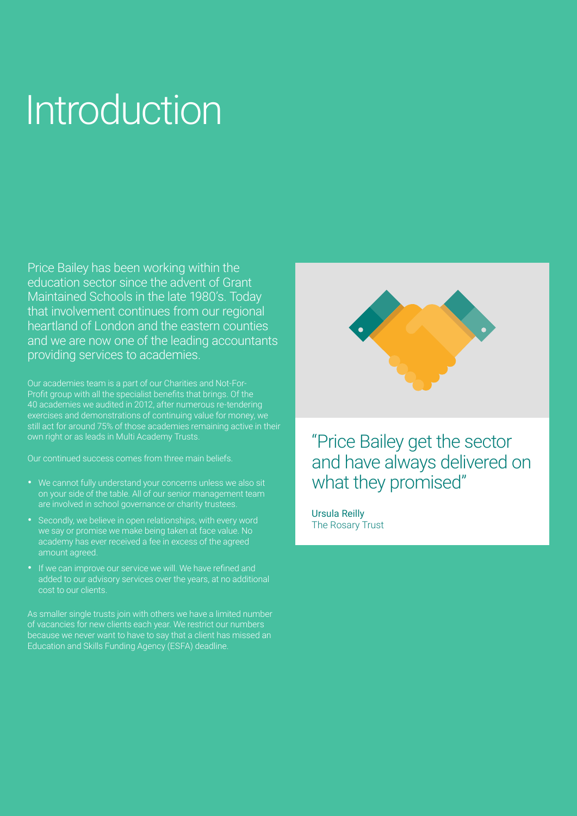# Introduction

Price Bailey has been working within the education sector since the advent of Grant Maintained Schools in the late 1980's. Today that involvement continues from our regional heartland of London and the eastern counties and we are now one of the leading accountants providing services to academies.

Our academies team is a part of our Charities and Not-For-Profit group with all the specialist benefits that brings. Of the 40 academies we audited in 2012, after numerous re-tendering exercises and demonstrations of continuing value for money, we still act for around 75% of those academies remaining active in their own right or as leads in Multi Academy Trusts.

Our continued success comes from three main beliefs.

- We cannot fully understand your concerns unless we also sit on your side of the table. All of our senior management team are involved in school governance or charity trustees.
- Secondly, we believe in open relationships, with every word we say or promise we make being taken at face value. No academy has ever received a fee in excess of the agreed amount agreed.
- If we can improve our service we will. We have refined and added to our advisory services over the years, at no additional cost to our clients.

As smaller single trusts join with others we have a limited number of vacancies for new clients each year. We restrict our numbers because we never want to have to say that a client has missed an Education and Skills Funding Agency (ESFA) deadline.



### "Price Bailey get the sector and have always delivered on what they promised"

Ursula Reilly The Rosary Trust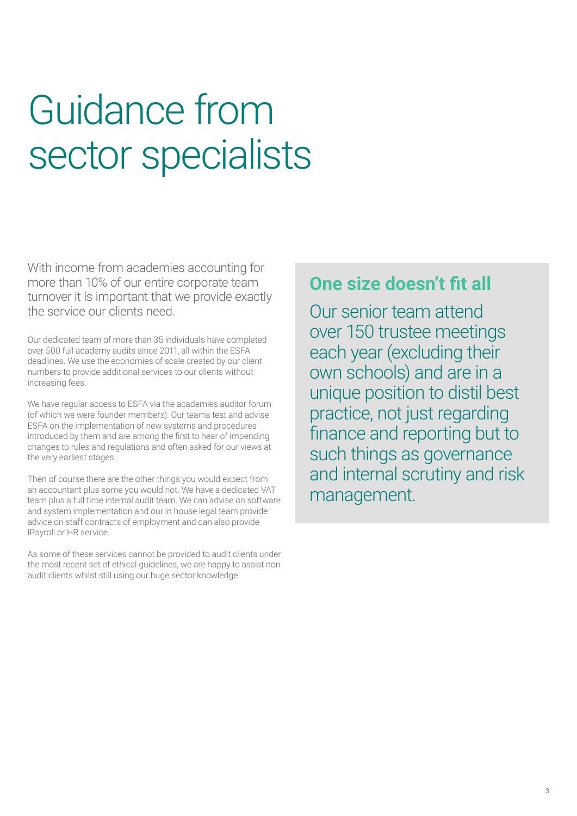## Guidance from sector specialists

With income from academies accounting for more than 10% of our entire corporate team turnover it is important that we provide exactly the service our clients need.

Our dedicated team of more than 35 individuals have completed over 500 full academy audits since 2011, all within the ESFA deadlines. We use the economies of scale created by our client numbers to provide additional services to our clients without increasing fees.

We have regular access to ESFA via the academies auditor forum (of which we were founder members). Our teams test and advise ESFA on the implementation of new systems and procedures introduced by them and are among the first to hear of impending changes to rules and regulations and often asked for our views at the very earliest stages.

Then of course there are the other things you would expect from an accountant plus some you would not. We have a dedicated VAT team plus a full time internal audit team. We can advise on software and system implementation and our in house legal team provide advice on staff contracts of employment and can also provide IPayroll or HR service.

As some of these services cannot be provided to audit clients under the most recent set of ethical guidelines, we are happy to assist non audit clients whilst still using our huge sector knowledge.

### **One size doesn't fit all**

Our senior team attend over 150 trustee meetings each year (excluding their own schools) and are in a unique position to distil best practice, not just regarding finance and reporting but to such things as governance and internal scrutiny and risk management.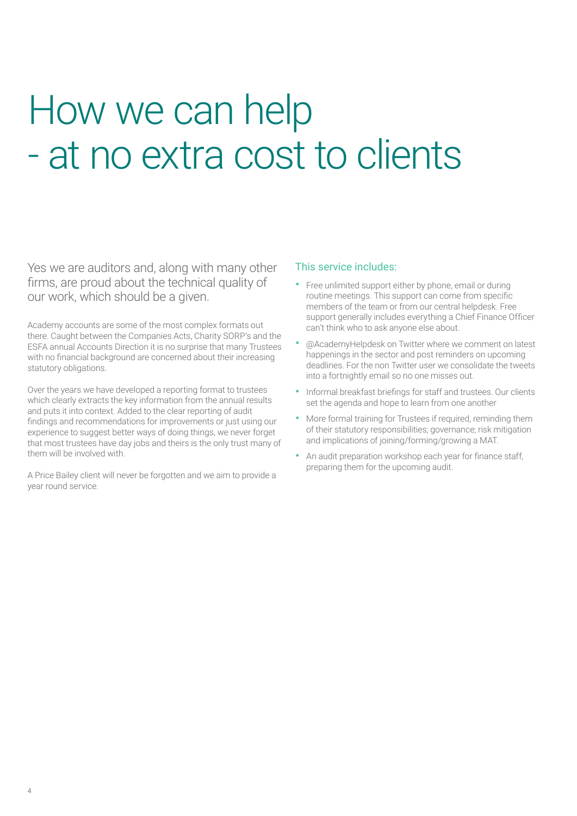### How we can help - at no extra cost to clients

Yes we are auditors and, along with many other firms, are proud about the technical quality of our work, which should be a given.

Academy accounts are some of the most complex formats out there. Caught between the Companies Acts, Charity SORP's and the ESFA annual Accounts Direction it is no surprise that many Trustees with no financial background are concerned about their increasing statutory obligations.

Over the years we have developed a reporting format to trustees which clearly extracts the key information from the annual results and puts it into context. Added to the clear reporting of audit findings and recommendations for improvements or just using our experience to suggest better ways of doing things, we never forget that most trustees have day jobs and theirs is the only trust many of them will be involved with.

A Price Bailey client will never be forgotten and we aim to provide a year round service.

#### This service includes:

- Free unlimited support either by phone, email or during routine meetings. This support can come from specific members of the team or from our central helpdesk. Free support generally includes everything a Chief Finance Officer can't think who to ask anyone else about.
- @AcademyHelpdesk on Twitter where we comment on latest happenings in the sector and post reminders on upcoming deadlines. For the non Twitter user we consolidate the tweets into a fortnightly email so no one misses out.
- Informal breakfast briefings for staff and trustees. Our clients set the agenda and hope to learn from one another
- More formal training for Trustees if required, reminding them of their statutory responsibilities; governance; risk mitigation and implications of joining/forming/growing a MAT.
- An audit preparation workshop each year for finance staff, preparing them for the upcoming audit.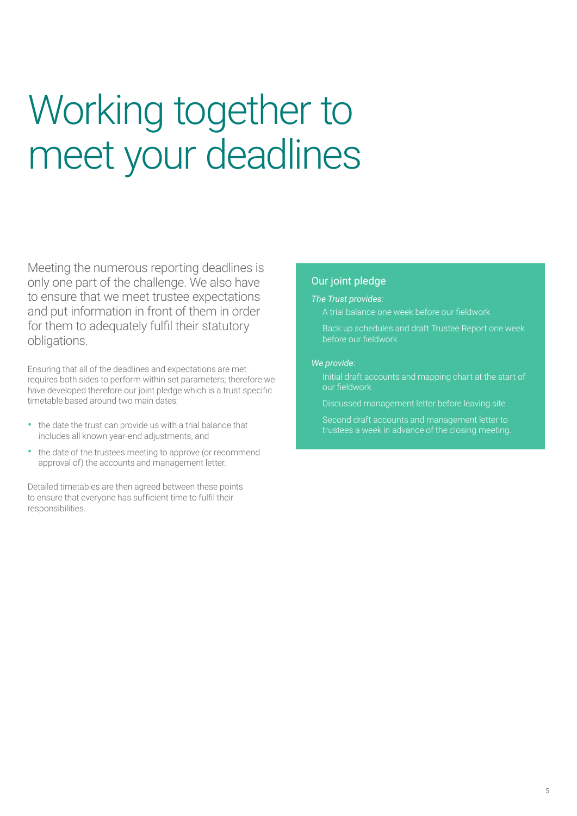# Working together to meet your deadlines

Meeting the numerous reporting deadlines is only one part of the challenge. We also have to ensure that we meet trustee expectations and put information in front of them in order for them to adequately fulfil their statutory obligations.

Ensuring that all of the deadlines and expectations are met requires both sides to perform within set parameters; therefore we have developed therefore our joint pledge which is a trust specific timetable based around two main dates:

- the date the trust can provide us with a trial balance that includes all known year-end adjustments, and
- the date of the trustees meeting to approve (or recommend approval of) the accounts and management letter.

Detailed timetables are then agreed between these points to ensure that everyone has sufficient time to fulfil their responsibilities.

### Our joint pledge

#### *The Trust provides:*

• A trial balance one week before our fieldwork

• Back up schedules and draft Trustee Report one week before our fieldwork

#### *We provide:*

• Initial draft accounts and mapping chart at the start of our fieldwork

Discussed management letter before leaving site

• Second draft accounts and management letter to trustees a week in advance of the closing meeting.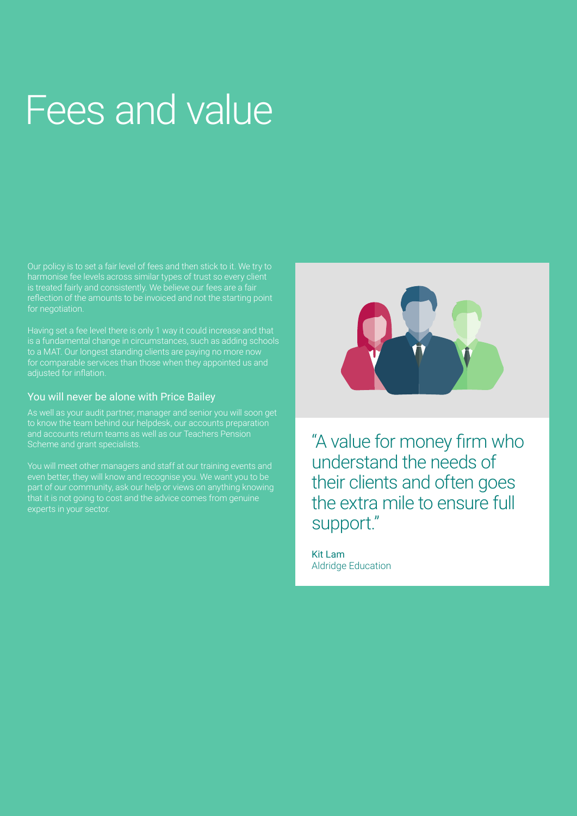## Fees and value

Our policy is to set a fair level of fees and then stick to it. We try to harmonise fee levels across similar types of trust so every client is treated fairly and consistently. We believe our fees are a fair reflection of the amounts to be invoiced and not the starting point for negotiation.

is a fundamental change in circumstances, such as adding schools to a MAT. Our longest standing clients are paying no more now for comparable services than those when they appointed us and adjusted for inflation.

#### You will never be alone with Price Bailey

As well as your audit partner, manager and senior you will soon get to know the team behind our helpdesk, our accounts preparation and accounts return teams as well as our Teachers Pension

You will meet other managers and staff at our training events and even better, they will know and recognise you. We want you to be that it is not going to cost and the advice comes from genuine



"A value for money firm who understand the needs of their clients and often goes the extra mile to ensure full support."

Kit Lam Aldridge Education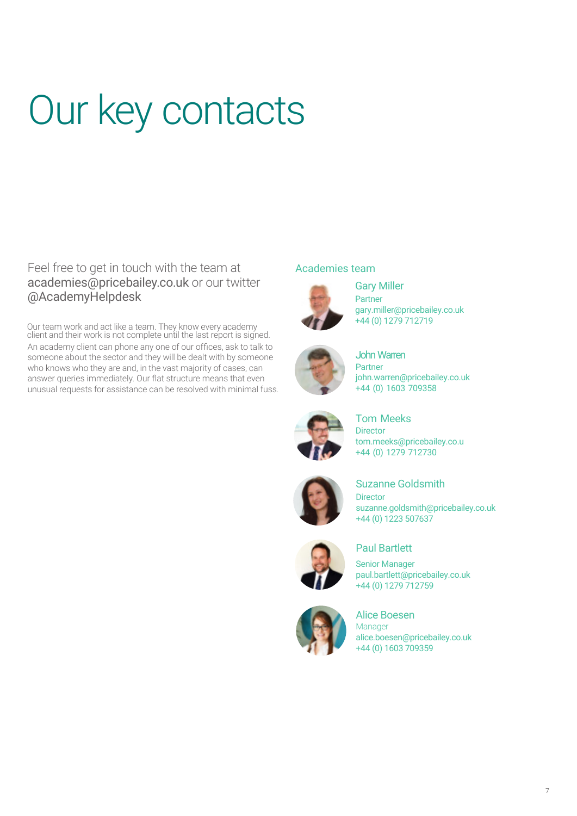# Our key contacts

### Feel free to get in touch with the team at academies@pricebailey.co.uk or our twitter @AcademyHelpdesk

Our team work and act like a team. They know every academy client and their work is not complete until the last report is signed. An academy client can phone any one of our offices, ask to talk to someone about the sector and they will be dealt with by someone who knows who they are and, in the vast majority of cases, can answer queries immediately. Our flat structure means that even unusual requests for assistance can be resolved with minimal fuss.

### Academies team



Gary Miller Partner gary.miller@pricebailey.co.uk +44 (0) 1279 712719



John Warren Partner john.warren@pricebailey.co.uk +44 (0) 1603 709358



#### Tom Meeks **Director** tom.meeks@pricebailey.co.u +44 (0) 1279 712730



Suzanne Goldsmith Director suzanne.goldsmith@pricebailey.co.uk +44 (0) 1223 507637



### Paul Bartlett

Senior Manager paul.bartlett@pricebailey.co.uk +44 (0) 1279 712759



Alice Boesen Manager alice.boesen@pricebailey.co.uk +44 (0) 1603 709359